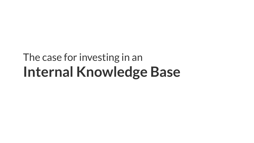# The case for investing in an **Internal Knowledge Base**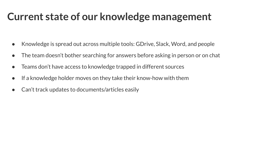### **Current state of our knowledge management**

- Knowledge is spread out across multiple tools: GDrive, Slack, Word, and people
- The team doesn't bother searching for answers before asking in person or on chat
- Teams don't have access to knowledge trapped in different sources
- If a knowledge holder moves on they take their know-how with them
- Can't track updates to documents/articles easily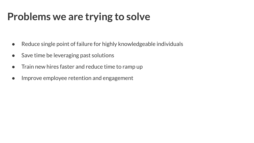### **Problems we are trying to solve**

- Reduce single point of failure for highly knowledgeable individuals
- Save time be leveraging past solutions
- Train new hires faster and reduce time to ramp up
- Improve employee retention and engagement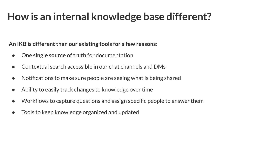## **How is an internal knowledge base different?**

**An IKB is different than our existing tools for a few reasons:**

- One **single source of truth** for documentation
- Contextual search accessible in our chat channels and DMs
- Notifications to make sure people are seeing what is being shared
- Ability to easily track changes to knowledge over time
- Workflows to capture questions and assign specific people to answer them
- Tools to keep knowledge organized and updated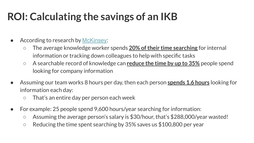## **ROI: Calculating the savings of an IKB**

- According to research by [McKinsey](https://www.mckinsey.com/industries/technology-media-and-telecommunications/our-insights/the-social-economy?utm_source=blog&utm_medium=2.helpjuice.comadmin/questions/7-shiny-gold-benefits-internal-knowledge-base?utm_source=blog&utm_medium=2.helpjuice.comdashboard):
	- The average knowledge worker spends **20% of their time searching** for internal information or tracking down colleagues to help with specific tasks
	- A searchable record of knowledge can **reduce the time by up to 35%** people spend looking for company information
- Assuming our team works 8 hours per day, then each person **spends 1.6 hours** looking for information each day:
	- That's an entire day per person each week
- For example: 25 people spend 9,600 hours/year searching for information:
	- Assuming the average person's salary is \$30/hour, that's \$288,000/year wasted!
	- $\circ$  Reducing the time spent searching by 35% saves us \$100,800 per year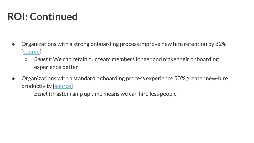## **ROI: Continued**

- Organizations with a strong onboarding process improve new hire retention by 82% [[source\]](https://b2b-assets.glassdoor.com/the-true-cost-of-a-bad-hire.pdf)
	- *Benefit*: We can retain our team members longer and make their onboarding experience better
- Organizations with a standard onboarding process experience 50% greater new-hire productivity [[source\]](https://www.shrm.org/resourcesandtools/hr-topics/talent-acquisition/pages/dont-underestimate-the-importance-of-effective-onboarding.aspx)
	- *Benefit*: Faster ramp up time means we can hire less people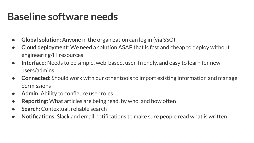#### **Baseline software needs**

- **Global solution**: Anyone in the organization can log in (via SSO)
- **Cloud deployment**: We need a solution ASAP that is fast and cheap to deploy without engineering/IT resources
- **Interface**: Needs to be simple, web-based, user-friendly, and easy to learn for new users/admins
- **Connected**: Should work with our other tools to import existing information and manage permissions
- **● Admin:** Ability to configure user roles
- **Reporting:** What articles are being read, by who, and how often
- **Search:** Contextual, reliable search
- **Notifications**: Slack and email notifications to make sure people read what is written